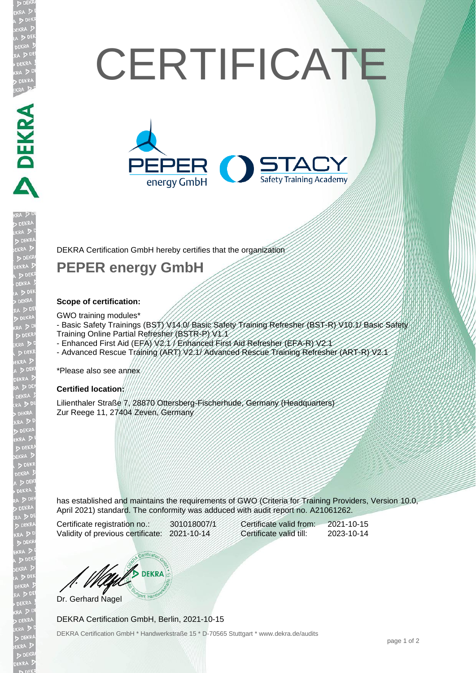# **CERTIFICATE**



DEKRA Certification GmbH hereby certifies that the organization

## **PEPER energy GmbH**

#### **Scope of certification:**

**DEKRA SERVE** 

EKR

#### GWO training modules\*

- Basic Safety Trainings (BST) V14.0/ Basic Safety Training Refresher (BST-R) V10.1/ Basic Safety
- Training Online Partial Refresher (BSTR-P) V1.1
- Enhanced First Aid (EFA) V2.1 / Enhanced First Aid Refresher (EFA-R) V2.1
- Advanced Rescue Training (ART) V2.1/ Advanced Rescue Training Refresher (ART-R) V2.1

\*Please also see annex

#### **Certified location:**

Lilienthaler Straße 7, 28870 Ottersberg-Fischerhude, Germany (Headquarters) Zur Reege 11, 27404 Zeven, Germany

has established and maintains the requirements of GWO (Criteria for Training Providers, Version 10.0, April 2021) standard. The conformity was adduced with audit report no. A21061262.

Certificate registration no.: 301018007/1 Validity of previous certificate: 2021-10-14

| Certificate valid from: | 2021-10-15 |
|-------------------------|------------|
| Certificate valid till: | 2023-10-14 |

**DEKRA** Dr. Gerhard Nagel

#### DEKRA Certification GmbH, Berlin, 2021-10-15

DEKRA Certification GmbH \* Handwerkstraße 15 \* D-70565 Stuttgart \* www.dekra.de/audits